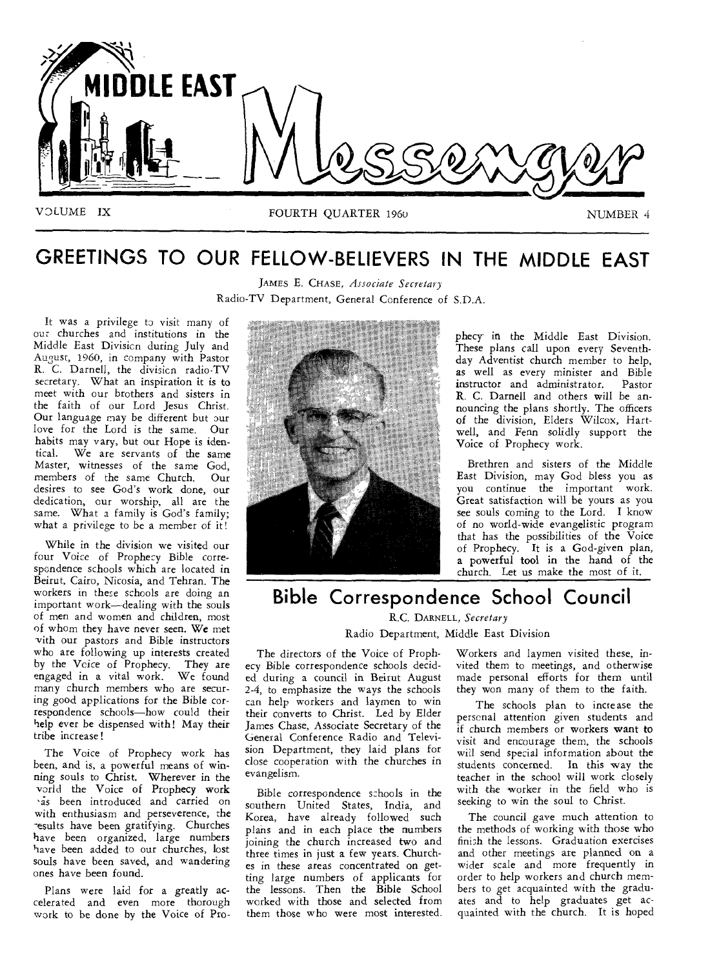

# **GREETINGS TO OUR FELLOW-BELIEVERS IN THE MIDDLE EAST**

JAMES E. CHASE, *Associate Secretary*  Radio-TV Department, General Conference of S.D.A.

It was a privilege to visit many of our churches and institutions in the Middle East Divisicn during July and August, 1960, in company with Pastor R. C. Darnell, the division radio-TV secretary. What an inspiration it is to meet with our brothers and sisters in the faith of our Lord Jesus Christ. Our language may be different but our love for the Lord is the same. Our habits may vary, but our Hope is identical. We are servants of the same Master, witnesses of the same God, members of the same Church. Our desires to see God's work done, our dedication, our worship, all are the same. What a family is God's family; what a privilege to be a member of it!

While in the division we visited our four Voice of Prophecy Bible correspondence schools which are located in Beirut, Cairo, Nicosia, and Tehran. The workers in there schools are doing an important work—dealing with the souls of men and women and children, most of whom they have never seen. We met with our pastors and Bible instructors who are following up interests created by the Voice of Prophecy. They are engaged in a vital work. We found many church members who are securing good applications for the Bible correspondence schools—how could their help ever be dispensed with! May their tribe increase!

The Voice of Prophecy work has been, and is, a powerful means of winning souls to Christ. Wherever in the vorld the Voice of Prophecy work vas been introduced and carried on with enthusiasm and perseverence, the -esults have been gratifying. Churches have been organized, large numbers have been added to our churches, lost souls have been saved, and wandering ones have been found.

Plans were laid for a greatly accelerated and even more thorough work to be done by the Voice of Pro-



phecy in the Middle East Division. These plans call upon every Seventhday Adventist church member to help, as well as every minister and Bible instructor and administrator. Pastor R. C. Darnell and others will be announcing the plans shortly. The officers of the division, Elders Wilcox, Hartwell, and Fenn solidly support the Voice of Prophecy work.

Brethren and sisters of the Middle East Division, may God bless you as you continue the important work. Great satisfaction will be yours as you see souls coming to the Lord. I know of no world-wide evangelistic program that has the possibilities of the Voice of Prophecy. It is a God-given plan, a powerful tool in the hand of the church. Let us make the most of it.

## **Bible Correspondence School Council**

R.C. DARNELL, *Secretary*  Radio Department, Middle East Division

The directors of the Voice of Prophecy Bible correspondence schools decided during a council in Beirut August 2-4, to emphasize the ways the schools can help workers and laymen to win their converts to Christ. Led by Elder James Chase, Associate Secretary of the General Conference Radio and Television Department, they laid plans for close cooperation with the churches in evangelism.

Bible correspondence schools in the southern United States, India, and Korea, have already followed such plans and in each place the numbers joining the church increased two and three times in just a few years. Churches in these areas concentrated on getting large numbers of applicants for the lessons. Then the Bible School worked with those and selected from them those who were most interested.

Workers and laymen visited these, invited them to meetings, and otherwise made personal efforts for them until they won many of them to the faith.

The schools plan to increase the personal attention given students and if church members or workers want to visit and encourage them, the schools will send special information about the students concerned. In this way the teacher in the school will work closely with the worker in the field who is seeking to win the soul to Christ.

The council gave much attention to the methods of working with those who finish the lessons. Graduation exercises and other meetings are planned on a wider scale and more frequently in order to help workers and church members to get acquainted with the graduates and to help graduates get acquainted with the church. It is hoped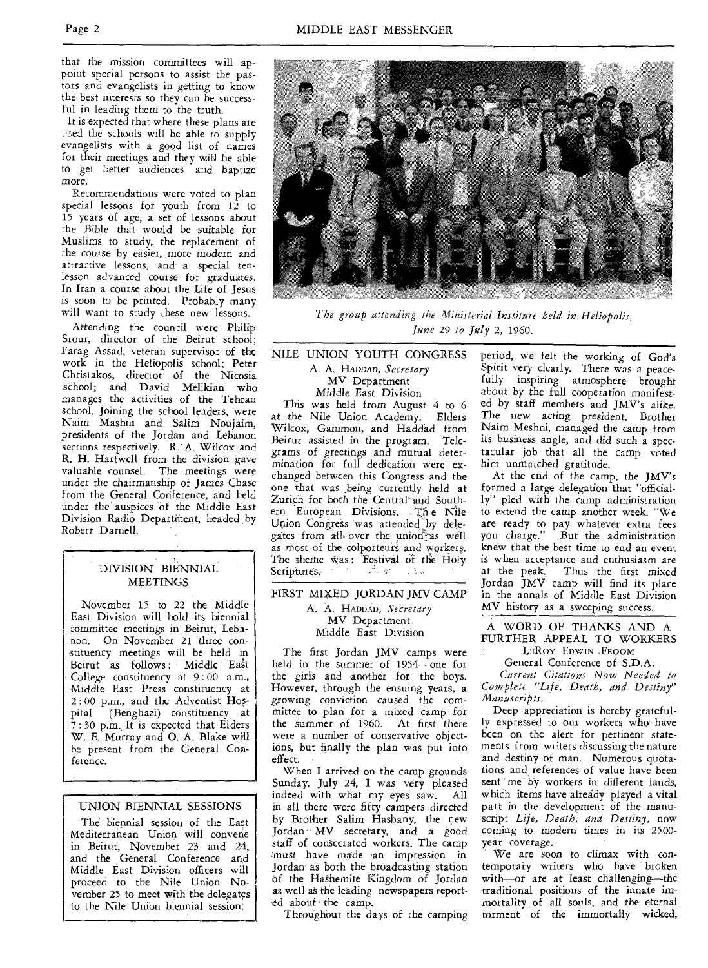that the mission committees will appoint special persons to assist the pastors and evangelists in getting to know the best interests so they can be successful in leading them to the truth.

It is expected that where these plans are used the schools will be able to supply evangelists with a good list of names for their meetings and they will be able to get better audiences and baptize more.

Recommendations were voted to plan special lessons for youth from 12 to 15 years of age, a set of lessons about the Bible that would be suitable for Muslims to study, the replacement of the course by easier, more modern and attractive lessons, and a special tenlesson advanced course for graduates. In Iran a course about the Life of Jesus is soon to be printed. Probably many will want to study these new lessons.

Attending the council were Philip Srour, director of the Beirut school; Farag Assad, veteran supervisor of the work in the Heliopolis school; Peter Christakos, director of the Nicosia school; and David Melikian who manages the activities of the Tehran school. Joining the school leaders, were Naim Mashni and Salim Noujaim, presidents of the Jordan and Lebanon sections respectively. R. A. Wilcox and R. H. Hartwell from the division gave valuable counsel. The meetings were under the chairmanship of James Chase from the General Conference, and held under the auspices of the Middle East Division Radio Departinent, headed by Robert Darnell.

## DIVISION BIENNIAL **MEETINGS**

November 15 to 22 the Middle East Division will hold its biennial committee meetings in Beirut, Lebanon. On November 21 three constituency meetings will be held in Beirut as follows: Middle East College constituency at 9 : 00 a.m., Middle East Press constituency at 2 : 00 p.m., and the Adventist Hospital (Benghazi) constituency at 7 : 30 p.m. It is expected that Elders W. E. Murray and 0. A. Blake will be present from the General Conference.

## UNION BIENNIAL SESSIONS

The biennial session of the East Mediterranean Union will convene in Beirut, November 23 and 24, and the General Conference and Middle East Division officers will proceed to the Nile Union November 25 to meet with the delegates to the Nile Union biennial session.

Middle East Division This was held from August 4 to 6 at the Nile Union Academy. Elders Wilcox, Gammon, and Haddad from Beirut assisted in the program. Telegrams of greetings and mutual determination for full dedication were ex-

changed between this Congress and the one that was .being currently held at Zurich for both the Central<sup>®</sup> and Southern European Divisions. The Nile Union Congress was attended by delegates from all over the union as well as most of the colporteurs and workers. The theme was: Festival of the Holy<br>Scriptures. Scriptures.

NILE UNION YOUTH CONGRESS A. A, HADDAD, *Secretary*  MV Department

## FIRST MIXED JORDAN JMV CAMP A. A. HADDAD, *Secretary*  MV Department Middle East Division

The first Jordan JMV camps were held in the summer of 1954—one for the girls and another for the boys. However, through the ensuing years, a growing conviction caused the committee to plan for a mixed camp for the summer of 1960. At first there were a number of conservative objections, but finally the plan was put into effect.

When I arrived on the camp grounds Sunday, July 24, I was very pleased indeed with what my eyes saw. All in all there were fifty campers directed by Brother Salim Hasbany, the new Jordan' MV secretary, and a good staff of consecrated workers. The camp must have made an impression in Jordan as both the broadcasting station of the Hashemite Kingdom of Jordan as well as the leading newspapers reported about the camp.

Throughout the days of the camping

period, we felt the working of God's Spirit very clearly. There was a peacefully inspiring atmosphere brought about by the full cooperation manifested by staff members and JMV's alike. The new *acting* president, Brother Naim Meshni, managed the camp from its business angle, and did such a spectacular job that all the camp voted him unmatched gratitude.

At the end of the camp, the JMV's formed a large delegation that "officially" pled with the camp administration to extend the camp another week. "We are ready to pay whatever extra fees you charge." But the administration knew that the best time to end an event is when acceptance and enthusiasm are at the peak. Thus the first mixed Jordan JMV camp will find its place in the annals of Middle East Division MV history as a sweeping success.

A WORD . OF. THANKS AND A FURTHER APPEAL TO WORKERS LEROY EDWIN .FROOM

General Conference of S.D.A.

*Current Citations Now Needed to Complete "Life, Death, and Destiny" Manuscripts.* 

Deep appreciation is hereby gratefully expressed to our workers who have been on the alert for pertinent statements from writers discussing the nature and destiny of man. Numerous quotations and references of value have been sent me by workers in different lands, which items have already played a vital part in the development of the manuscript *Life, Death, and Destiny,* now *coming* to modern times in its 2500 year coverage.

We are *soon* to climax with contemporary writers who have broken with—or are at least challenging—the traditional positions of the innate immortality of all souls, and the eternal torment of the immortally wicked,



*The group attending the Ministerial Institute held in Heliopolis, June* 29 *to July* 2, 1960.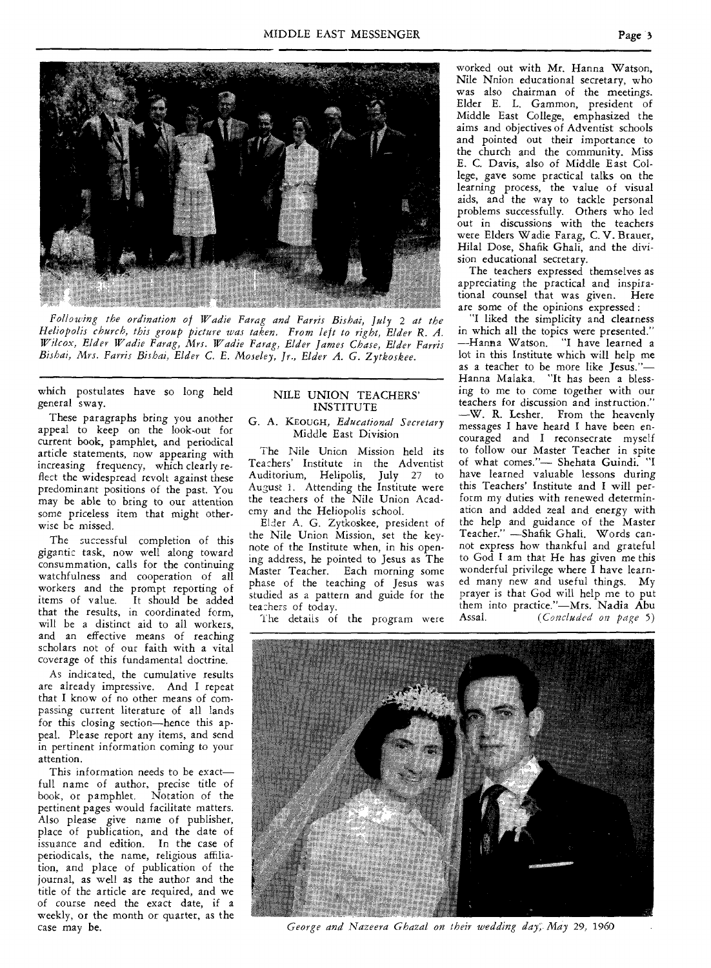

*Following the ordination of Wadie Farag* **and** *Farris Bishai, July* 2 *at the Heliopolis church, this group picture was taken. From left to right, Elder R. A. Wilcox, Elder Wadie Farag, Mrs. Wadie Farag, Elder James Chase, Elder Farris Bishai, Mrs. Farris Bishai, Elder* C. *E. Moseley, Jr., Elder A. G. Zytkoskee.* 

which postulates have so long held general sway.

These paragraphs bring you another appeal to keep on the look-out for current book, pamphlet, and periodical article statements, now appearing with increasing frequency, which clearly reflect the widespread revolt against these predominant positions of the past. You may be able to bring to our attention some priceless item that might otherwise be missed.

The successful completion of this gigantic task, now well along toward consummation, calls for the continuing watchfulness and cooperation of all workers and the prompt reporting of items of value. It **should be added**  that the results, in coordinated form, will be a distinct aid to all workers, and an effective means of reaching scholars not of our faith with a vital coverage of this fundamental doctrine.

As indicated, the cumulative results are already impressive. And I repeat that I know of no other means of compassing current literature of all lands for this closing section—hence this appeal. Please report any items, and send in pertinent information coming to your attention.

This information needs to be exact full name of author, precise title of book, or pamphlet. Notation of the pertinent pages would facilitate matters. Also please give **name of publisher,**  place of publication, and the date of issuance and **edition. In the case of**  periodicals, the name, religious affiliation, and place of publication of the journal, as well as the author and the title of the article are required, and we of course need the exact date, if a weekly, or the month or quarter, as the case may be.

## NILE UNION TEACHERS' INSTITUTE

G. A. KEOUGH, *Educational Secretary*  Middle East Division

The Nile Union Mission held its Teachers' Institute in the Adventist Auditorium, Helipolis, July 27 to August 1. Attending the Institute were the teachers of the Nile Union Academy and the Heliopolis school.

Elder A. G. Zytkoskee, president of the Nile Union Mission, set the keynote of the Institute when, in his opening address, he pointed to Jesus as The Master Teacher. Each morning some phase of the teaching of Jesus was studied as a pattern and guide for the tea:hers of today.

The details of the program were

worked out with Mr. Hanna Watson, Nile Nnion educational secretary, who was also chairman of **the** meetings. Elder E. L. Gammon, president of Middle East College, emphasized the aims and objectives of Adventist schools and pointed out their importance to the church and the community. Miss E. C. Davis, also of Middle East College, gave some practical talks on the learning process, the value of visual aids, and the way to tackle personal problems successfully. Others who led out in discussions with the teachers were Elders Wadie Farag, **C. V.** Brauer, Hilal Dose, Shafik Ghali, and the division educational secretary.

The teachers expressed themselves as appreciating the practical and inspirational counsel that was given. Here are some of the opinions expressed :

"I liked the simplicity and clearness in which **all** the topics were presented." —Hanna Watson. "I have learned a lot in this Institute which will help me as a teacher to be more like Jesus."— Hanna Malaka. "It has been a blessing to me to come together with our teachers for discussion and instruction." —W. **R.** Lesher. From the heavenly messages I have heard I have been encouraged and I reconsecrate myself to follow our Master Teacher in spite of what comes."— Shehata **Guindi. "I**  have learned valuable lessons during this Teachers' Institute and I will perform my duties with renewed determination and added zeal and energy with the help and guidance of the Master Teacher." —Shafik Ghali. Words cannot express how thankful and grateful to God I am that He has given me this wonderful privilege where I have learned many new and useful things. My prayer is that God will help me to put them into practice."—Mrs. **Nadia Abu**  *(Concluded on page 5)* 



*George and Nazeera Ghazal on their wedding day, May* 29, 1960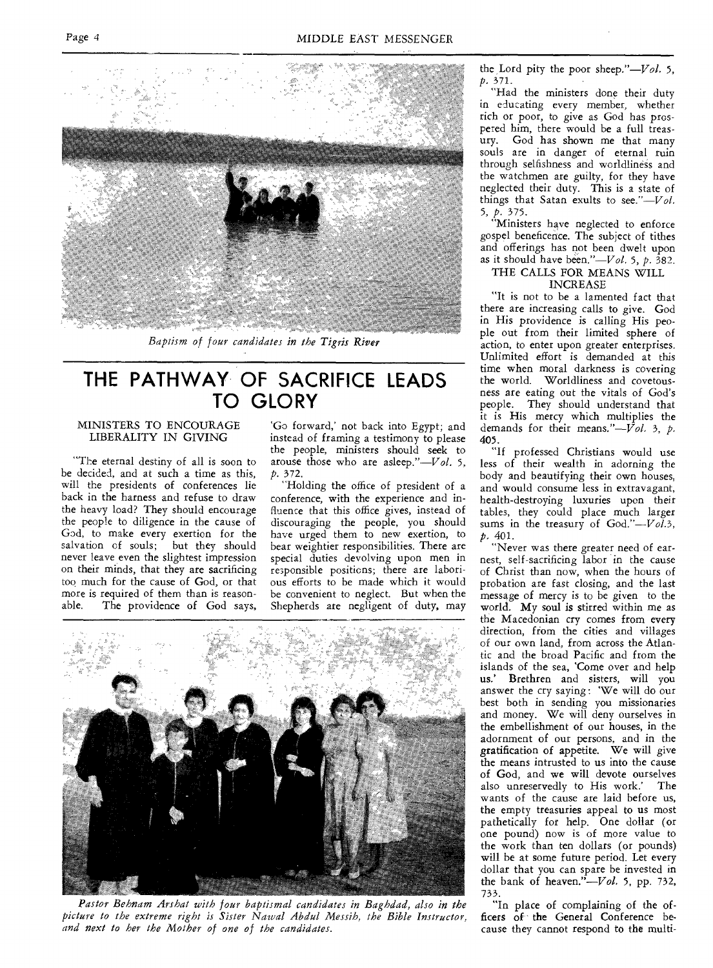

*Baptism of four candidates in the Tigris River* 

## **THE PATHWAY OF SACRIFICE LEADS TO GLORY**

## MINISTERS TO ENCOURAGE LIBERALITY IN GIVING

"The eternal destiny of all is soon to be decided, and at such a time as this, will the presidents of conferences lie back in the harness and refuse to draw the heavy load? They should encourage the people to diligence in the cause of God, to make every exertion for the<br>salvation of souls; but they should salvation of souls; never leave even the slightest impression on their minds, that they are sacrificing too much for the cause of God, or that more is required of them than is reasonable. The providence of God says,

`Go forward,' not back into Egypt; and instead of framing a testimony to please the people, ministers should seek to arouse those who are asleep." $-Vol.$  5, *p.* 372.

"Holding the office of president of a conference, with the experience and influence that this office gives, instead of discouraging the people, you should have urged them to new exertion, to bear weightier responsibilities. There are special duties devolving upon men in re3ponsible positions; there are laborious efforts to be made which it would be convenient to neglect. But when the Shepherds ate negligent of duty, may



Pastor Behnam Arshat with four baptismal candidates in Baghdad, also in the *picture to the extreme right is Sister Nawal Abdul Messih, the Bible Instructor, and next to her the Mother of one of the candidates.* 

the Lord pity the poor sheep."-Vol. 5, *p.* 371.

"Had the ministers done their duty in educating every member, whether rich or poor, to give as God has prospered him, there would be a full treasury. God has shown me that many souls are in danger of eternal ruin through selfishness and worldliness and the watchmen are guilty, for they have neglected their duty. This is a state of things that Satan exults to *see."—Vol.*  5, *p.* 375.

"Ministers have neglected to enforce gospel beneficence. The subject of tithes and offerings has not been dwelt upon as it should have been."—Vol. 5, *p.* 382.

#### THE CALLS FOR MEANS WILL INCREASE

"It is not to be a lamented fact that there are increasing calls to give. God in His providence is calling His people out from their limited sphere of action, to enter upon greater enterprises. Unlimited effort is demanded at this time when moral darkness is covering the world. Worldliness and covetousness are eating out the vitals of God's people. They should understand that it is His mercy which multiplies the demands for their means."- $\mathcal{V}ol.$  3, p. 405.

"If professed Christians would use less of their wealth in adorning the body and beautifying their own houses, and would consume less in extravagant, health-destroying luxuries upon their tables, they could place much larger sums in the treasury of God."--Vol.3, *p.* 401.

"Never was there greater need of earnest, self-sacrificing labor in the cause of Christ than now, when the hours of probation are fast closing, and the last message of mercy is to be given to the world. My soul is stirred within me as the Macedonian cry comes from every direction, from the cities and villages of our own land, from across the Atlantic and the broad Pacific and from the islands of the sea, 'Come over and help us.' Brethren and sisters, will you answer the cry saying : 'We will do our best both in sending you missionaries and money. We will deny ourselves in the embellishment of our houses, in the adornment of our persons, and in the gratification of appetite. We will give the means intrusted to us into the cause of God, and we will devote ourselves also unreservedly to His work.' The wants of the cause are laid before us, the empty treasuries appeal to us most pathetically for help. One dollar (or one pound) now is of more value to the work than ten dollars (or pounds) will be at some future period. Let every dollar that you can spare be invested in the bank of heaven." $Vol.$  5, pp. 732, 733.

"In place of complaining of the officers of the General Conference because they cannot respond to the multi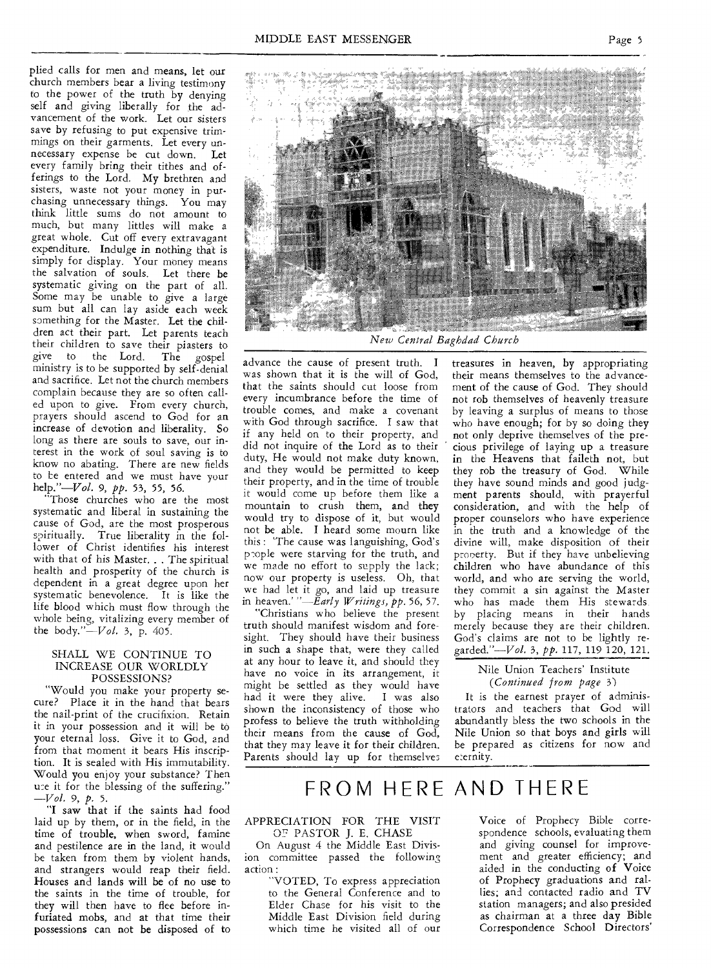plied calls for men and means, let our church members bear a living testimony to the power of the truth by denying self and giving liberally for the advancement of the work. Let our sisters save by refusing to put expensive trimmings on their garments. Let every unnecessary expense be cut down. Let every family bring their tithes and offerings to the Lord. My brethren and sisters, waste not your money in purchasing unnecessary things. You may think little sums do not amount to much, but many littles will make a great whole. Cut off every extravagant expenditure. Indulge in nothing that is simply for display. Your money means the salvation of souls. Let there be systematic giving on the part of all. Some may be unable to give a large sum but all can lay aside each week something for the Master. Let the children act their part. Let parents teach their children to save their piasters to<br>give to the Lord. The gospel give to the Lord. The gospel ministry is to be supported by self-denial and sacrifice. Let not the church members complain because they are so often called upon to give. From every church, prayers should ascend to God for an increase of devotion and liberality. So long as there are souls to save, our interest in the work of soul saving is to know no abating. There are new fields to be entered and we must have your help."—Vol. 9, *pp.* 53, 55, 56.

"Those churches who are the most systematic and liberal in sustaining the cause of God, are the most prosperous spiritually. True liberality in the follower of Christ identifies his interest with that of his Master. . . The spiritual health and prosperity of the church is dependent in a great degree upon her systematic benevolence. It is like the life blood which must flow through the whole being, vitalizing every member of the body." $-Vol.$  3, p. 405.

#### SHALL WE CONTINUE TO INCREASE OUR WORLDLY POSSESSIONS?

"Would you make your property secure? Place it in the hand that bears the nail-print of the crucifixion. Retain it in your possession and it will be to your eternal loss. Give it to God, and from that moment it bears His inscription. It is sealed with His immutability. Would you enjoy your substance? Then use it for the blessing of the suffering." *—Vol.* 9, *p.* 5.

"I saw that if the saints had food laid up by them, or in the field, in the time of trouble, when sword, famine and pestilence are in the land, it would be taken from them by violent hands, and strangers would reap their field. Houses and lands will be of no use to the saints in the time of trouble, for they will then have to flee before infuriated mobs, and at that time their possessions can not be disposed of to



*New Central Baghdad Church* 

advance the cause of present truth. I was shown that it is the will of God, that the saints should cut loose from every incumbrance before the time of trouble comes, and make a covenant with God through sacrifice. I saw that if any held on to their property, and did not inquire of the Lord as to their duty, He would not make duty known, and they would be permitted to keep their property, and in the time of trouble it would come up before them like a mountain to crush them, and they would try to dispose of it, but would not be able. I heard some mourn like this : The cause was languishing, God's prople were starving for the truth, and we made no effort to supply the lack; now our property is useless. Oh, that we had let it go, and laid up treasure in heaven.' *"—Early Writings, pp.* 56, 57.

"Christians who believe the present truth should manifest wisdom and foresight. They should have their business in such a shape that, were they called at any hour to leave it, and should they have no voice in its arrangement, it might be settled as they would have had it were they alive. I was also shown the inconsistency of those who profess to believe the truth withholding their means from the cause of God, that they may leave it for their children. Parents should lay up for themselves treasures in heaven, by appropriating their means themselves to the advancement of the cause of God. They should not rob themselves of heavenly treasure by leaving a surplus of means to those who have enough; for by so doing they not only deprive themselves of the precious privilege of laying up a treasure in the Heavens that faileth not, but they rob the treasury of God. While they have sound minds and good judgment parents should, with prayerful consideration, and with the help of proper counselors who have experience in the truth and a knowledge of the divine will, make disposition of their property. But if they have unbelieving children who have abundance of this world, and who are serving the world, they commit a sin against the Master who has made them His stewards by placing means in their hands merely because they are their children. God's claims are not to be lightly regarded."—V*ol.* 3, *pp.* 117, 119 120, 121.

## Nile Union Teachers' Institute *(Continued from page* 3)

It is the earnest prayer of administrators and teachers that God will abundantly bless the two schools in the Nile Union so that boys and girls will be prepared as citizens for now and eternity.

## FROM HERE AND THERE

## APPRECIATION FOR THE VISIT OF PASTOR J. E. CHASE

On August 4 the Middle East Division committee passed the following action :

"VOTED, To express appreciation to the General Conference and to Elder Chase for his visit to the Middle East Division field during which time he visited all of our

Voice of Prophecy Bible correspondence schools, evaluating them and giving counsel for improvement and greater efficiency; and aided in the conducting of Voice of Prophecy graduations and rallies; and contacted radio and TV station managers; and also presided as chairman at a three day Bible Correspondence School Directors'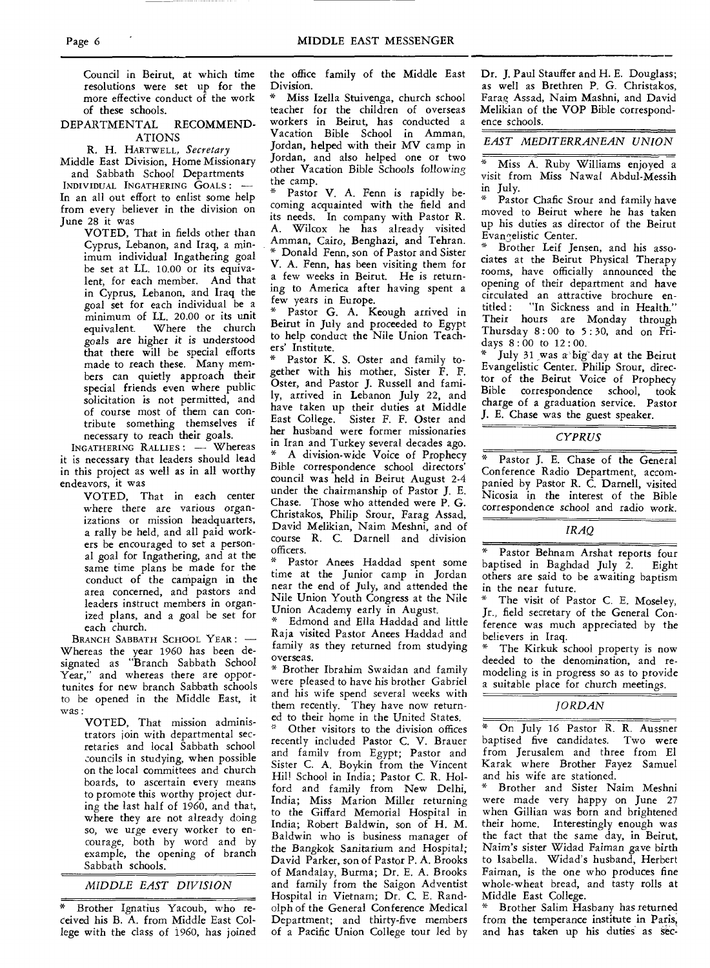Council in Beirut, at which time resolutions were set up for the more effective conduct of the work of these schools.

#### DEPARTMENTAL RECOMMEND-ATIONS

R. H. HARTWELL, *Secretary* 

Middle East Division, Home Missionary and Sabbath School Departments

INDIVIDUAL INGATHERING GOALS: — In an all out effort to enlist some help from every believer in the division on June 28 it was

> VOTED, That in fields other than Cyprus, Lebanon, and Iraq, a minimum individual Ingathering goal be set at LL. 10.00 or its equivalent, for each member. And that in Cyprus, Lebanon, and Iraq the goal set for each individual be a minimum of LL. 20.00 or its unit equivalent. Where the church goals are higher it is understood that there will be special efforts made to reach these. Many members can quietly approach their special friends even where public solicitation is not permitted, and of course most of them can contribute something themselves if necessary to reach their goals.

INGATHERING RALLIES : — Whereas it is necessary that leaders should lead in this project as well as in all worthy endeavors, it was

> VOTED, That in each center where there are various organizations or mission headquarters, a rally be held, and all paid workers be encouraged to set a personal goal for Ingathering, and at the same time plans be made for the conduct of the campaign in the area concerned, and pastors and leaders instruct members in organized plans, and a goal be set for each church.

BRANCH SABBATH SCHOOL YEAR: -Whereas the year 1960 has been designated as "Branch Sabbath School Year," and whereas there are opportunites for new branch Sabbath schools to be opened in the Middle East, it was :

> VOTED, That mission administrators join with departmental secretaries and local Sabbath school councils in studying, when possible on the local committees and church boards, to ascertain every means to promote this worthy project during the last half of 1960, and that, where they are not already doing so, we urge every worker to encourage, both by word and by example, the opening of branch Sabbath schools.

## *MIDDLE EAST DIVISION*

Brother Ignatius Yacoub, who received his B. A. from Middle East College with the class of 1960, has joined the office family of the Middle East Division.

Miss Izella Stuivenga, church school teacher for the children of overseas workers in Beirut, has conducted a Vacation Bible School in Amman, Jordan, helped with their MV camp in Jordan, and also helped one or two other Vacation Bible Schools *following*  the camp.

Pastor V. A. Fenn is rapidly becoming acquainted with the field and its needs, In company with Pastor R. A. Wilcox he has already visited Amman, Cairo, Benghazi, and Tehran. \* Donald Fenn, son of Pastor and Sister V. A. Fenn, has been visiting them for a few weeks in Beirut. He is returning to America after having spent a few years in Europe.

\* Pastor G. A. Keough arrived in Beirut in July and proceeded to Egypt to help conduct the Nile Union Teachers' Institute.

Pastor K. S. Oster and family together with his mother, Sister F. F. Oster, and Pastor J. Russell and family, arrived in Lebanon July 22, and have taken up their duties at Middle East College. Sister F. F. Oster and her husband were former missionaries in Iran and Turkey several decades ago. A division-wide Voice of Prophecy Bible correspondence school directors' council was held in Beirut August 2-4 under the chairmanship of Pastor J. E. Chase. Those who attended were P. G. Christakos, Philip Srour, Farag Assad, David Melikian, Naim Meshni, and of course R. C. Darnell and division officers.

Pastor Anees Haddad spent some time at the Junior camp in Jordan near the end of July, and attended the Nile Union Youth Congress at the Nile Union Academy early in August.

Edmond and Ella Haddad and little Raja visited Pastor Anees Haddad and family as they returned from studying overseas.

\* Brother Ibrahim Swaidan and family were pleased to have his brother Gabriel and his wife spend several weeks with them recently. They have now returned to their home in the United States.

Other visitors to the division offices recently included Pastor C. V. Brauer and family from Egypt; Pastor and Sister C. A. Boykin from the Vincent Hill School in India; Pastor C. R. Holford and family from New Delhi, India; Miss Marion Miller returning to the Giffard Memorial Hospital in India; Robert Baldwin, son of H. M. Baldwin who is business manager of the Bangkok Sanitarium *and* Hospital; David Parker, son of Pastor P. A. Brooks of Mandalay, Burma; Dr. E. A. Brooks and family from the Saigon Adventist Hospital in Vietnam; Dr. C. E. Randolph of the General Conference Medical Department; and thirty-five members of a Pacific Union College tour led by

Dr. J. Paul Stauffer and H. E. Douglass; as well as Brethren P. G. Christakos, Farag Assad, Naim Mashni, and David Melikian of the VOP Bible correspondence schools.

#### *EAST MEDITERRANEAN UNION*

Miss A. Ruby Williams enjoyed a visit from Miss Nawal Abdul-Messih in July.

Pastor Chafic Srour and family have moved to Beirut where he has taken up his duties as director of the Beirut Evangelistic Center.

Brother Leif Jensen, and his associates at the Beirut Physical Therapy rooms, have officially announced the opening of their department and have circulated an attractive brochure en-<br>titled: "In Sickness and in Health." ''In Sickness and in Health." Their hours are Monday through Thursday  $8:00$  to  $5:30$ , and on Fridays 8 : 00 to 12 : 00.

July 31 was a big day at the Beirut Evangelistic Center. Philip Srour, director of the Beirut Voice of Prophecy Bible correspondence school, took charge of a graduation service. Pastor J. E. Chase was the guest speaker.

#### *CYPRUS*

Pastor J. E. Chase of the General Conference Radio Department, accompanied by Pastor R. C. Darnell, visited Nicosia in the interest of the Bible correspondence *school and* radio work.

#### *IRAQ*

Pastor Behnam Arshat reports four<br>tised in Baghdad July 2. Eight baptised in Baghdad July  $2$ . others are said to be awaiting baptism in the near future.

The visit of Pastor C. E. Moseley, Jr., field secretary of the General Conference was much appreciated by the believers in Iraq.

The Kirkuk school property is now deeded to the denomination, and remodeling is in progress so as to provide a suitable place for church meetings.

#### *JORDAN*

On July 16 Pastor R. R. Aussner baptised five candidates. Two were from Jerusalem and three from El Karak where Brother Fayez Samuel and his wife are stationed.

\* Brother and Sister Naim Meshni were made very happy on June 27 when Gillian was born and brightened their home. Interestingly enough was the fact that the same day, in Beirut, Naim's sister Widad Faiman gave birth to Isabella. Widad's husband, Herbert Faiman, is the one who produces fine whole-wheat bread, and tasty rolls at Middle East College.

Brother Salim Hasbany has returned from the temperance institute in Paris, and has taken up his duties as sec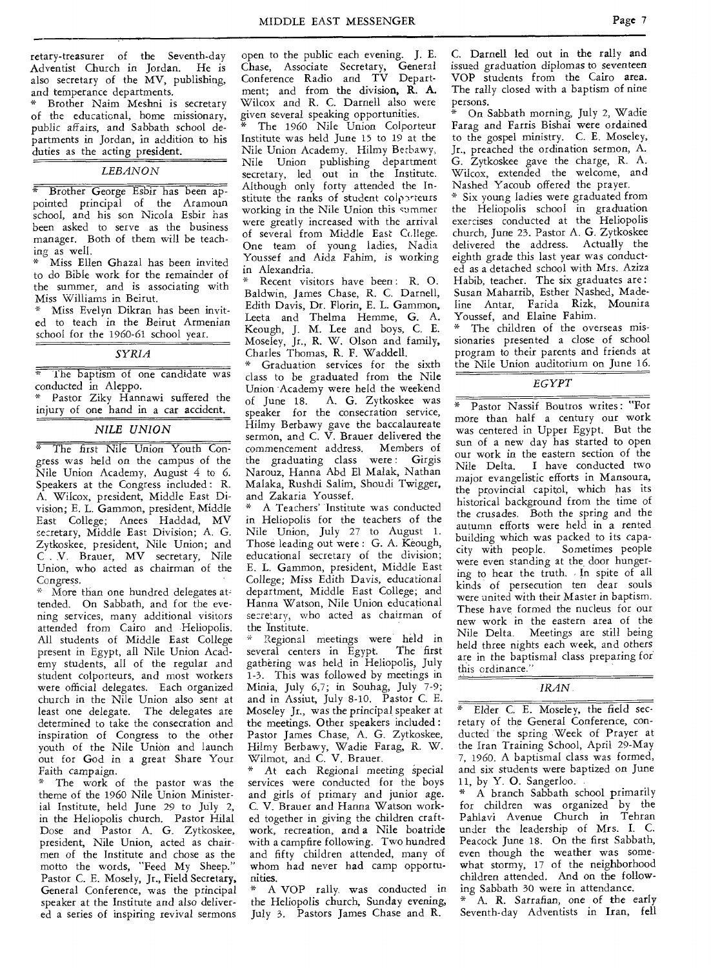retary-treasurer of the Seventh-day Adventist Church in Jordan. He is also secretary of the MV, publishing, and temperance departments.

Brother Naim Meshni is secretary of the educational, home missionary, public affairs, and Sabbath school departments in Jordan, in addition to his duties as the acting president.

#### *LEBANON*

\* Brother George Esbir has been appointed principal of the Aramoun school, and his son Nicola Esbir has been asked to serve as the business manager. Both of them will be teaching as well.

Miss Ellen Ghazal has been invited to do Bible work for the remainder of the summer, and is associating with Miss Williams in Beirut.

Miss Evelyn Dikran has been invited to teach in the Beirut Armenian school for the 1960-61 school year.

### *SYRIA*

The baptism of one candidate was conducted in Aleppo.

\* Pastor Ziky Hannawi suffered the injury of one hand in a car accident.

### *NILE UNION*

\* The first Nile Union Youth Congress was held on the campus of the Nile Union Academy, August 4 to 6. Speakers at the Congress included: R. A. Wilcox, president, Middle East Division; E. L. Gammon, president, Middle East College; Anees Haddad, MV secretary, Middle East Division; A. G. Zytkoskee, president, Nile Union; and C. V. Brauer, MV secretary, Nile Union, who acted as chairman of the Congress.

\* More than one hundred delegates attended. On Sabbath, and for the evening services, many additional visitors attended from Cairo and Heliopolis. All students of Middle East College present in Egypt, all Nile Union Academy students, all of the regular and student colporteurs, and most workers were official delegates. Each organized church in the Nile Union also sent at least one delegate. The delegates are determined to take the consecration and inspiration of Congress to the other youth of the Nile Union and launch out for God in a great Share Your Faith campaign.

The work of the pastor was the theme of the 1960 Nile Union Ministerial Institute, held June 29 to July 2, in the Heliopolis church. Pastor Hilal Dose and Pastor A. G. Zytkoskee, president, Nile Union, acted as chairmen of the Institute and chose as the motto the words, "Feed My Sheep." Pastor C. E. Mosely, Jr., Field Secretary, General Conference, was the principal speaker at the Institute and also delivered a series of inspiring revival sermons

open to the public each evening. J. E. Chase, Associate Secretary, General Conference Radio and TV Department; and from the division, R. A. Wilcox and R. C. Darnell also were given several speaking opportunities.

The 1960 Nile Union Colporteur Institute was held June 15 to 19 at the Nile Union Academy. Hilmy Berbawy, Nile Union publishing department secretary, led out in the Institute. Although only forty attended the Institute the ranks of student colporteurs working in the Nile Union this summer were greatly increased with the arrival of several from Middle East Ccilege. One team of young ladies, Nadia Youssef and Aida Fahim, is working in Alexandria.

Recent visitors have been: R. O. Baldwin, James Chase, R. C. Darnell, Edith Davis, Dr. Florin, E. L. Gammon, Leeta and Thelma Hemme, G. A. Keough, J. M. Lee and boys, C. E. Moseley, Jr., R. W. Olson and family, Charles Thomas, R. F. Waddell.

Graduation services for the sixth class to be graduated from the Nile Union Academy were held the weekend of June 18. A. G. Zytkoskee was speaker for the consecration service, Hilmy Berbawy gave the baccalaureate sermon, and C. V. Brauer delivered the commencement address. Members of the graduating class were : Girgis Narouz, Hanna Abd El Malak, Nathan Malaka, Rushdi Salim, Shoudi Twigger, and Zakaria Youssef.

A Teachers' Institute was conducted in Heliopolis for the teachers of the Nile Union, July 27 to August 1. Those leading out were : G. A. Keough, educational secretary of the division; E. L. Gammon, president, Middle East College; Miss Edith Davis, educational department, Middle East College; and Hanna Watson, Nile Union educational secretary, who acted as chairman of the Institute.

\* Regional meetings were held in several centers in Egypt. The first gathering was held in Heliopolis, July 1-3. This was followed by meetings in Minia, July 6,7; in Souhag, July 7-9; and in Assiut, July 8-10. Pastor C. E. Moseley Jr., was the principal speaker at the meetings. Other speakers included : Pastor James Chase, A. G. Zytkoskee, Hilmy Berbawy, Wadie Farag, R. W. Wilmot, and C. V. Brauer.

At each Regional meeting special services were conducted for the boys and girls of primary and junior age. C. V. Brauer and Hanna Watson worked together in giving the children craftwork, recreation, and a Nile boatride with a campfire following. Two hundred and fifty children attended, many of whom had never had camp opportunities.

\* A VOP rally. was conducted in the Heliopolis church, Sunday *evening,*  July 3. Pastors James Chase and R.

C. Darnell led out in the rally and issued graduation diplomas to seventeen VOP students from the Cairo area. The rally closed with a baptism of nine persons.

On Sabbath morning, July 2, Wadie Farag and Farris Bishai were ordained to the gospel ministry. C. E. Moseley, Jr., preached the ordination sermon, A. G. Zytkoskee gave the charge, R. A. Wilcox, extended the welcome, and Nashed Yacoub offered the prayer.

\* Six young ladies were graduated from the Heliopolis school in graduation exercises conducted at the Heliopolis church, June 23. Pastor A. G. Zytkoskee delivered the address. Actually the eighth grade this last year was conducted as a detached school with Mrs. Aziza Habib, teacher. The six graduates are : Susan Maharrib, Esther Nashed, Madeline Antar, Farida Rizk, Mounira, Youssef, and Elaine Fahim.

\* The children of the overseas missionaries presented a close of school program to their parents and friends at the Nile Union auditorium on June 16.

#### *EGYPT*

\* Pastor Nassif Boutros writes : "For more than half a century our work was centered in Upper Egypt. But the sun of a new day has started to open our work in the eastern section of the Nile Delta. I have conducted two major evangelistic efforts in Mansoura, the provincial capitol, which has its historical background from the time of the crusades. Both the spring and the autumn efforts were held in a rented building which was packed to its capacity with people. Sometimes people were even standing at the, door hungering to hear the truth. In spite of all kinds of persecution ten dear souls were united with their Master in baptism. These have formed the nucleus for our new work in the eastern area of the Nile Delta. Meetings are still being held three nights each week, and others are in the baptismal class preparing for this ordinance."

Elder C. E. Moseley, the field secretary of the General Conference, conducted the spring Week of Prayer at the Iran Training School, April 29-May 7, 1960. A baptismal class was formed, and six students were baptized on June 11, by Y. 0. Sangerloo.

\* A branch Sabbath school primarily for children was organized by the Pahlavi Avenue Church in Tehran under the leadership of Mrs. I. C. Peacock June 18. On the first Sabbath, even though the weather was somewhat stormy, *17* of the neighborhood children attended. And on the following Sabbath 30 were in attendance.

A. R. Sarrafian, one of the early Seventh-day Adventists in Iran, fell

*IRAN*